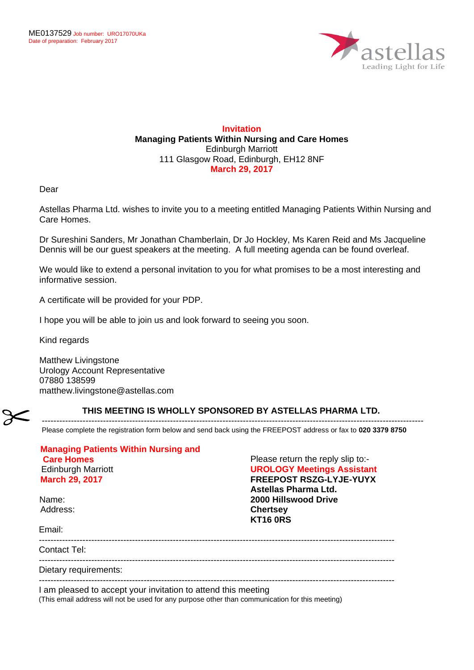

## **Invitation Managing Patients Within Nursing and Care Homes** Edinburgh Marriott 111 Glasgow Road, Edinburgh, EH12 8NF **March 29, 2017**

Dear

Astellas Pharma Ltd. wishes to invite you to a meeting entitled Managing Patients Within Nursing and Care Homes.

Dr Sureshini Sanders, Mr Jonathan Chamberlain, Dr Jo Hockley, Ms Karen Reid and Ms Jacqueline Dennis will be our guest speakers at the meeting. A full meeting agenda can be found overleaf.

We would like to extend a personal invitation to you for what promises to be a most interesting and informative session.

A certificate will be provided for your PDP.

I hope you will be able to join us and look forward to seeing you soon.

Kind regards

Matthew Livingstone Urology Account Representative 07880 138599 matthew.livingstone@astellas.com

## **THIS MEETING IS WHOLLY SPONSORED BY ASTELLAS PHARMA LTD.**

----------------------------------------------------------------------------------------------------------------------------------- Please complete the registration form below and send back using the FREEPOST address or fax to **020 3379 8750**

| <b>Managing Patients Within Nursing and</b><br><b>Care Homes</b> | Please return the reply slip to:-                                   |
|------------------------------------------------------------------|---------------------------------------------------------------------|
| <b>Edinburgh Marriott</b><br><b>March 29, 2017</b>               | <b>UROLOGY Meetings Assistant</b><br><b>FREEPOST RSZG-LYJE-YUYX</b> |
|                                                                  | Astellas Pharma Ltd.                                                |
| Name:                                                            | <b>2000 Hillswood Drive</b>                                         |
| Address:                                                         | <b>Chertsey</b><br><b>KT16 ORS</b>                                  |
| Email:                                                           |                                                                     |
| Contact Tel:                                                     |                                                                     |
| Dietary requirements:                                            |                                                                     |
| I am pleased to accept your invitation to attend this meeting    |                                                                     |

(This email address will not be used for any purpose other than communication for this meeting)